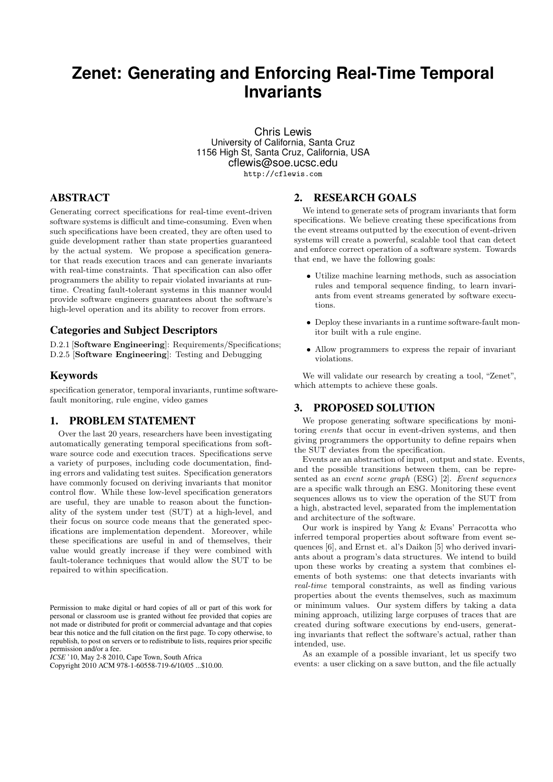# **Zenet: Generating and Enforcing Real-Time Temporal Invariants**

Chris Lewis University of California, Santa Cruz 1156 High St, Santa Cruz, California, USA cflewis@soe.ucsc.edu http://cflewis.com

## ABSTRACT

Generating correct specifications for real-time event-driven software systems is difficult and time-consuming. Even when such specifications have been created, they are often used to guide development rather than state properties guaranteed by the actual system. We propose a specification generator that reads execution traces and can generate invariants with real-time constraints. That specification can also offer programmers the ability to repair violated invariants at runtime. Creating fault-tolerant systems in this manner would provide software engineers guarantees about the software's high-level operation and its ability to recover from errors.

## Categories and Subject Descriptors

D.2.1 [Software Engineering]: Requirements/Specifications; D.2.5 [Software Engineering]: Testing and Debugging

## Keywords

specification generator, temporal invariants, runtime softwarefault monitoring, rule engine, video games

## 1. PROBLEM STATEMENT

Over the last 20 years, researchers have been investigating automatically generating temporal specifications from software source code and execution traces. Specifications serve a variety of purposes, including code documentation, finding errors and validating test suites. Specification generators have commonly focused on deriving invariants that monitor control flow. While these low-level specification generators are useful, they are unable to reason about the functionality of the system under test (SUT) at a high-level, and their focus on source code means that the generated specifications are implementation dependent. Moreover, while these specifications are useful in and of themselves, their value would greatly increase if they were combined with fault-tolerance techniques that would allow the SUT to be repaired to within specification.

*ICSE* '10, May 2-8 2010, Cape Town, South Africa

## 2. RESEARCH GOALS

We intend to generate sets of program invariants that form specifications. We believe creating these specifications from the event streams outputted by the execution of event-driven systems will create a powerful, scalable tool that can detect and enforce correct operation of a software system. Towards that end, we have the following goals:

- Utilize machine learning methods, such as association rules and temporal sequence finding, to learn invariants from event streams generated by software executions.
- Deploy these invariants in a runtime software-fault monitor built with a rule engine.
- Allow programmers to express the repair of invariant violations.

We will validate our research by creating a tool, "Zenet", which attempts to achieve these goals.

## 3. PROPOSED SOLUTION

We propose generating software specifications by monitoring events that occur in event-driven systems, and then giving programmers the opportunity to define repairs when the SUT deviates from the specification.

Events are an abstraction of input, output and state. Events, and the possible transitions between them, can be represented as an event scene graph (ESG) [2]. Event sequences are a specific walk through an ESG. Monitoring these event sequences allows us to view the operation of the SUT from a high, abstracted level, separated from the implementation and architecture of the software.

Our work is inspired by Yang & Evans' Perracotta who inferred temporal properties about software from event sequences [6], and Ernst et. al's Daikon [5] who derived invariants about a program's data structures. We intend to build upon these works by creating a system that combines elements of both systems: one that detects invariants with real-time temporal constraints, as well as finding various properties about the events themselves, such as maximum or minimum values. Our system differs by taking a data mining approach, utilizing large corpuses of traces that are created during software executions by end-users, generating invariants that reflect the software's actual, rather than intended, use.

As an example of a possible invariant, let us specify two events: a user clicking on a save button, and the file actually

Permission to make digital or hard copies of all or part of this work for personal or classroom use is granted without fee provided that copies are not made or distributed for profit or commercial advantage and that copies bear this notice and the full citation on the first page. To copy otherwise, to republish, to post on servers or to redistribute to lists, requires prior specific permission and/or a fee.

Copyright 2010 ACM 978-1-60558-719-6/10/05 ...\$10.00.